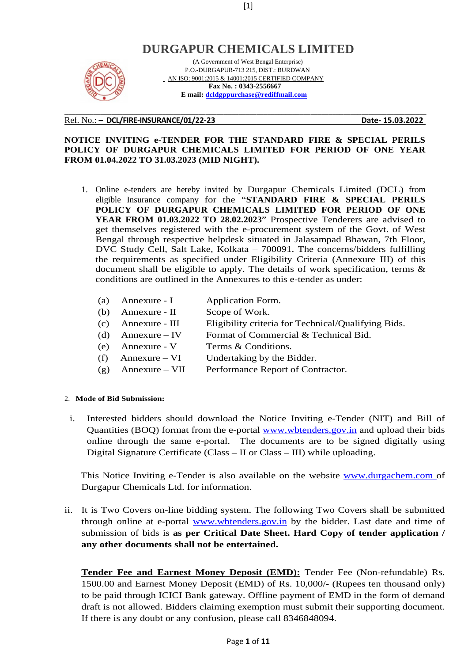# **DURGAPUR CHEMICALS LIMITED**



 (A Government of West Bengal Enterprise) P.O.-DURGAPUR-713 215, DIST.: BURDWAN AN ISO: 9001:2015 & 14001:2015 CERTIFIED COMPANY  **Fax No. : 0343-2556667 E mail: dcldgppurchase@rediffmail.com**

#### Ref. No.: **– DCL/FIRE-INSURANCE/01/22-23 Date- 15.03.2022**

#### **NOTICE INVITING e-TENDER FOR THE STANDARD FIRE & SPECIAL PERILS POLICY OF DURGAPUR CHEMICALS LIMITED FOR PERIOD OF ONE YEAR FROM 01.04.2022 TO 31.03.2023 (MID NIGHT).**

**\_\_\_\_\_\_\_\_\_\_\_\_\_\_\_\_\_\_\_\_\_\_\_\_\_\_\_\_\_\_\_\_\_\_\_\_\_\_\_\_\_\_\_\_\_\_\_\_\_\_\_\_\_\_\_\_\_\_\_\_\_\_\_\_\_\_\_\_\_\_\_\_\_\_\_\_\_\_\_\_\_\_\_\_\_\_\_\_\_\_\_\_\_\_\_\_\_\_\_\_** 

- 1. Online e-tenders are hereby invited by Durgapur Chemicals Limited (DCL) from eligible Insurance company for the "**STANDARD FIRE & SPECIAL PERILS POLICY OF DURGAPUR CHEMICALS LIMITED FOR PERIOD OF ONE YEAR FROM 01.03.2022 TO 28.02.2023**" Prospective Tenderers are advised to get themselves registered with the e-procurement system of the Govt. of West Bengal through respective helpdesk situated in Jalasampad Bhawan, 7th Floor, DVC Study Cell, Salt Lake, Kolkata – 700091. The concerns/bidders fulfilling the requirements as specified under Eligibility Criteria (Annexure III) of this document shall be eligible to apply. The details of work specification, terms & conditions are outlined in the Annexures to this e-tender as under:
	- (a) Annexure I Application Form.
	- (b) Annexure II Scope of Work.
	- (c) Annexure III Eligibility criteria for Technical/Qualifying Bids.
	- (d) Annexure IV Format of Commercial  $&$  Technical Bid.
	- (e) Annexure V Terms & Conditions.
	- (f) Annexure  $VI$  Undertaking by the Bidder.
	- (g) Annexure VII Performance Report of Contractor.

#### 2. **Mode of Bid Submission:**

i. Interested bidders should download the Notice Inviting e-Tender (NIT) and Bill of Quantities (BOQ) format from the e-portal www.wbtenders.gov.in and upload their bids online through the same e-portal. The documents are to be signed digitally using Digital Signature Certificate (Class  $-$  II or Class  $-$  III) while uploading.

This Notice Inviting e-Tender is also available on the website www.durgachem.com of Durgapur Chemicals Ltd. for information.

ii. It is Two Covers on-line bidding system. The following Two Covers shall be submitted through online at e-portal www.wbtenders.gov.in by the bidder. Last date and time of submission of bids is **as per Critical Date Sheet. Hard Copy of tender application / any other documents shall not be entertained.**

**Tender Fee and Earnest Money Deposit (EMD):** Tender Fee (Non-refundable) Rs. 1500.00 and Earnest Money Deposit (EMD) of Rs. 10,000/- (Rupees ten thousand only) to be paid through ICICI Bank gateway. Offline payment of EMD in the form of demand draft is not allowed. Bidders claiming exemption must submit their supporting document. If there is any doubt or any confusion, please call 8346848094.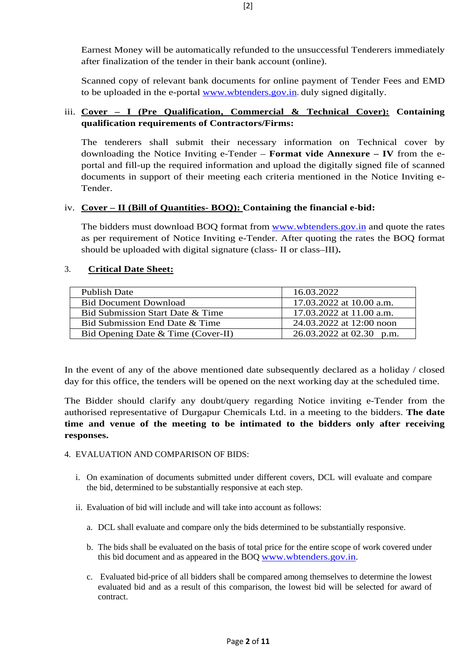Earnest Money will be automatically refunded to the unsuccessful Tenderers immediately after finalization of the tender in their bank account (online).

Scanned copy of relevant bank documents for online payment of Tender Fees and EMD to be uploaded in the e-portal www.wbtenders.gov.in. duly signed digitally.

# iii. **Cover – I (Pre Qualification, Commercial & Technical Cover): Containing qualification requirements of Contractors/Firms:**

The tenderers shall submit their necessary information on Technical cover by downloading the Notice Inviting e-Tender – **Format vide Annexure – IV** from the eportal and fill-up the required information and upload the digitally signed file of scanned documents in support of their meeting each criteria mentioned in the Notice Inviting e-Tender.

## iv. **Cover – II (Bill of Quantities- BOQ): Containing the financial e-bid:**

The bidders must download BOQ format from www.wbtenders.gov.in and quote the rates as per requirement of Notice Inviting e-Tender. After quoting the rates the BOQ format should be uploaded with digital signature (class- II or class–III)**.** 

## 3. **Critical Date Sheet:**

| <b>Publish Date</b>                | 16.03.2022                 |
|------------------------------------|----------------------------|
| <b>Bid Document Download</b>       | 17.03.2022 at 10.00 a.m.   |
| Bid Submission Start Date & Time   | 17.03.2022 at 11.00 a.m.   |
| Bid Submission End Date & Time     | 24.03.2022 at 12:00 noon   |
| Bid Opening Date & Time (Cover-II) | $26.03.2022$ at 02.30 p.m. |

In the event of any of the above mentioned date subsequently declared as a holiday / closed day for this office, the tenders will be opened on the next working day at the scheduled time.

The Bidder should clarify any doubt/query regarding Notice inviting e-Tender from the authorised representative of Durgapur Chemicals Ltd. in a meeting to the bidders. **The date time and venue of the meeting to be intimated to the bidders only after receiving responses.**

### 4. EVALUATION AND COMPARISON OF BIDS:

- i. On examination of documents submitted under different covers, DCL will evaluate and compare the bid, determined to be substantially responsive at each step.
- ii. Evaluation of bid will include and will take into account as follows:
	- a. DCL shall evaluate and compare only the bids determined to be substantially responsive.
	- b. The bids shall be evaluated on the basis of total price for the entire scope of work covered under this bid document and as appeared in the BOQ www.wbtenders.gov.in.
	- c. Evaluated bid-price of all bidders shall be compared among themselves to determine the lowest evaluated bid and as a result of this comparison, the lowest bid will be selected for award of contract.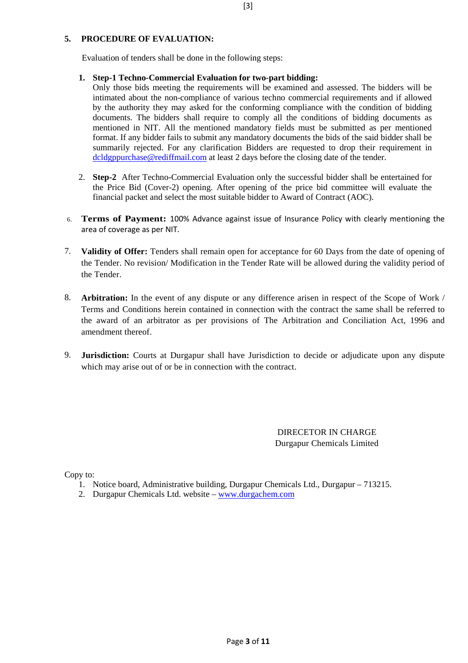## **5. PROCEDURE OF EVALUATION:**

Evaluation of tenders shall be done in the following steps:

### **1. Step-1 Techno-Commercial Evaluation for two-part bidding:**

- Only those bids meeting the requirements will be examined and assessed. The bidders will be intimated about the non-compliance of various techno commercial requirements and if allowed by the authority they may asked for the conforming compliance with the condition of bidding documents. The bidders shall require to comply all the conditions of bidding documents as mentioned in NIT. All the mentioned mandatory fields must be submitted as per mentioned format. If any bidder fails to submit any mandatory documents the bids of the said bidder shall be summarily rejected. For any clarification Bidders are requested to drop their requirement in dcldgppurchase@rediffmail.com at least 2 days before the closing date of the tender.
- 2. **Step-2** After Techno-Commercial Evaluation only the successful bidder shall be entertained for the Price Bid (Cover-2) opening. After opening of the price bid committee will evaluate the financial packet and select the most suitable bidder to Award of Contract (AOC).
- 6. **Terms of Payment:** 100% Advance against issue of Insurance Policy with clearly mentioning the area of coverage as per NIT.
- 7. **Validity of Offer:** Tenders shall remain open for acceptance for 60 Days from the date of opening of the Tender. No revision/ Modification in the Tender Rate will be allowed during the validity period of the Tender.
- 8. **Arbitration:** In the event of any dispute or any difference arisen in respect of the Scope of Work / Terms and Conditions herein contained in connection with the contract the same shall be referred to the award of an arbitrator as per provisions of The Arbitration and Conciliation Act, 1996 and amendment thereof.
- 9. **Jurisdiction:** Courts at Durgapur shall have Jurisdiction to decide or adjudicate upon any dispute which may arise out of or be in connection with the contract.

 DIRECETOR IN CHARGE Durgapur Chemicals Limited

Copy to:

- 1. Notice board, Administrative building, Durgapur Chemicals Ltd., Durgapur 713215.
- 2. Durgapur Chemicals Ltd. website www.durgachem.com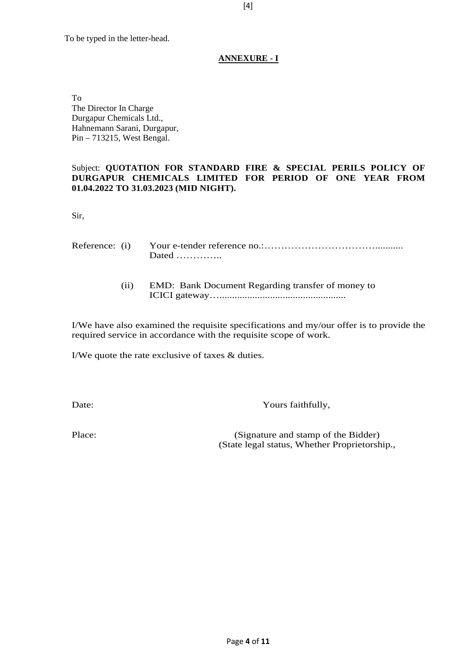## **ANNEXURE - I**

To The Director In Charge Durgapur Chemicals Ltd., Hahnemann Sarani, Durgapur, Pin – 713215, West Bengal.

## Subject: **QUOTATION FOR STANDARD FIRE & SPECIAL PERILS POLICY OF DURGAPUR CHEMICALS LIMITED FOR PERIOD OF ONE YEAR FROM 01.04.2022 TO 31.03.2023 (MID NIGHT).**

Sir,

| Reference: (i) |      | Dated                                             |
|----------------|------|---------------------------------------------------|
|                | (11) | EMD: Bank Document Regarding transfer of money to |

I/We have also examined the requisite specifications and my/our offer is to provide the required service in accordance with the requisite scope of work.

I/We quote the rate exclusive of taxes & duties.

Date: Yours faithfully,

Place: (Signature and stamp of the Bidder) (State legal status, Whether Proprietorship.,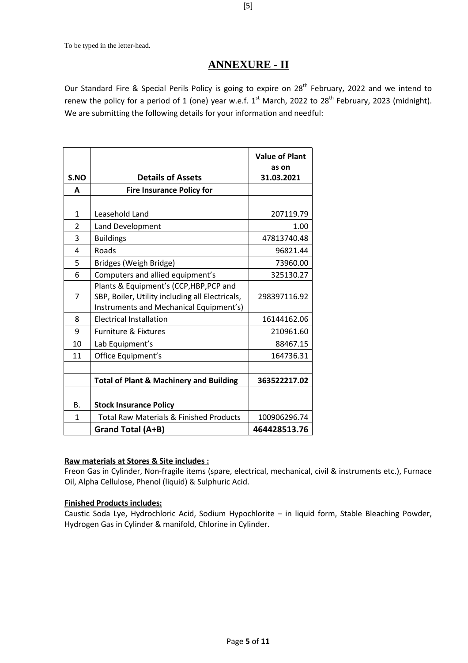# **ANNEXURE - II**

Our Standard Fire & Special Perils Policy is going to expire on 28<sup>th</sup> February, 2022 and we intend to renew the policy for a period of 1 (one) year w.e.f.  $1^{st}$  March, 2022 to 28<sup>th</sup> February, 2023 (midnight). We are submitting the following details for your information and needful:

|                |                                                    | <b>Value of Plant</b><br>as on |  |  |
|----------------|----------------------------------------------------|--------------------------------|--|--|
| S.NO           | <b>Details of Assets</b>                           | 31.03.2021                     |  |  |
| A              | <b>Fire Insurance Policy for</b>                   |                                |  |  |
|                |                                                    |                                |  |  |
| 1              | Leasehold Land                                     | 207119.79                      |  |  |
| $\overline{2}$ | Land Development                                   | 1.00                           |  |  |
| 3              | <b>Buildings</b>                                   | 47813740.48                    |  |  |
| 4              | Roads                                              | 96821.44                       |  |  |
| 5              | Bridges (Weigh Bridge)                             | 73960.00                       |  |  |
| 6              | Computers and allied equipment's                   | 325130.27                      |  |  |
|                | Plants & Equipment's (CCP, HBP, PCP and            |                                |  |  |
| 7              | SBP, Boiler, Utility including all Electricals,    | 298397116.92                   |  |  |
|                | Instruments and Mechanical Equipment's)            |                                |  |  |
| 8              | <b>Electrical Installation</b>                     | 16144162.06                    |  |  |
| 9              | <b>Furniture &amp; Fixtures</b>                    | 210961.60                      |  |  |
| 10             | Lab Equipment's                                    | 88467.15                       |  |  |
| 11             | Office Equipment's                                 | 164736.31                      |  |  |
|                |                                                    |                                |  |  |
|                | <b>Total of Plant &amp; Machinery and Building</b> | 363522217.02                   |  |  |
|                |                                                    |                                |  |  |
| Β.             | <b>Stock Insurance Policy</b>                      |                                |  |  |
| 1              | <b>Total Raw Materials &amp; Finished Products</b> | 100906296.74                   |  |  |
|                | Grand Total (A+B)                                  | 464428513.76                   |  |  |

### **Raw materials at Stores & Site includes :**

Freon Gas in Cylinder, Non-fragile items (spare, electrical, mechanical, civil & instruments etc.), Furnace Oil, Alpha Cellulose, Phenol (liquid) & Sulphuric Acid.

## **Finished Products includes:**

Caustic Soda Lye, Hydrochloric Acid, Sodium Hypochlorite – in liquid form, Stable Bleaching Powder, Hydrogen Gas in Cylinder & manifold, Chlorine in Cylinder.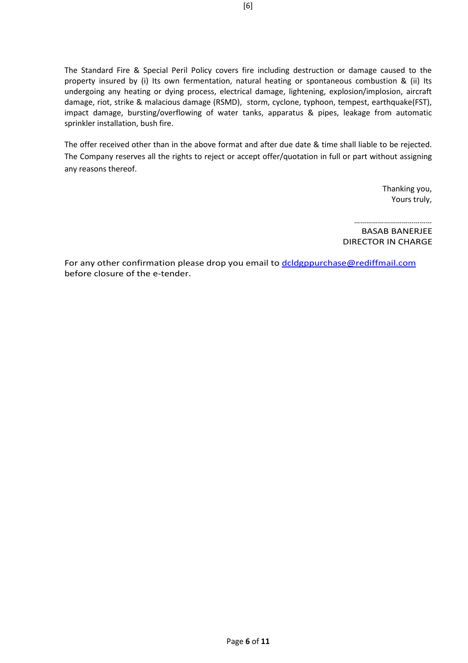The Standard Fire & Special Peril Policy covers fire including destruction or damage caused to the property insured by (i) Its own fermentation, natural heating or spontaneous combustion & (ii) Its undergoing any heating or dying process, electrical damage, lightening, explosion/implosion, aircraft damage, riot, strike & malacious damage (RSMD), storm, cyclone, typhoon, tempest, earthquake(FST), impact damage, bursting/overflowing of water tanks, apparatus & pipes, leakage from automatic sprinkler installation, bush fire.

The offer received other than in the above format and after due date & time shall liable to be rejected. The Company reserves all the rights to reject or accept offer/quotation in full or part without assigning any reasons thereof.

> Thanking you, Yours truly,

…………………………………… BASAB BANERJEE DIRECTOR IN CHARGE

For any other confirmation please drop you email to dcldgppurchase@rediffmail.com before closure of the e-tender.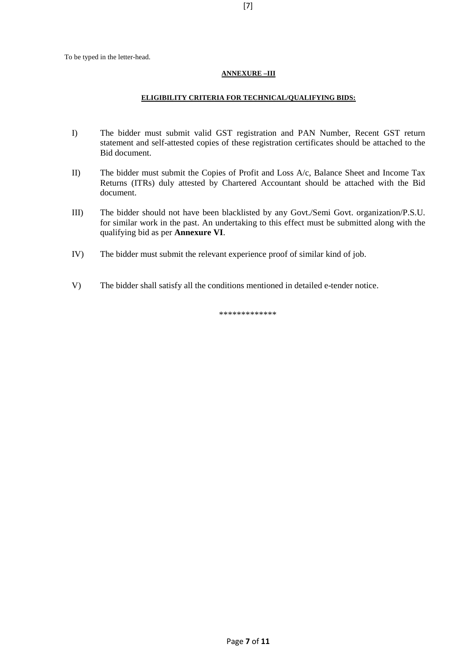#### **ANNEXURE –III**

#### **ELIGIBILITY CRITERIA FOR TECHNICAL/QUALIFYING BIDS:**

- I) The bidder must submit valid GST registration and PAN Number, Recent GST return statement and self-attested copies of these registration certificates should be attached to the Bid document.
- II) The bidder must submit the Copies of Profit and Loss A/c, Balance Sheet and Income Tax Returns (ITRs) duly attested by Chartered Accountant should be attached with the Bid document.
- III) The bidder should not have been blacklisted by any Govt./Semi Govt. organization/P.S.U. for similar work in the past. An undertaking to this effect must be submitted along with the qualifying bid as per **Annexure VI**.
- IV) The bidder must submit the relevant experience proof of similar kind of job.
- V) The bidder shall satisfy all the conditions mentioned in detailed e-tender notice.

\*\*\*\*\*\*\*\*\*\*\*\*\*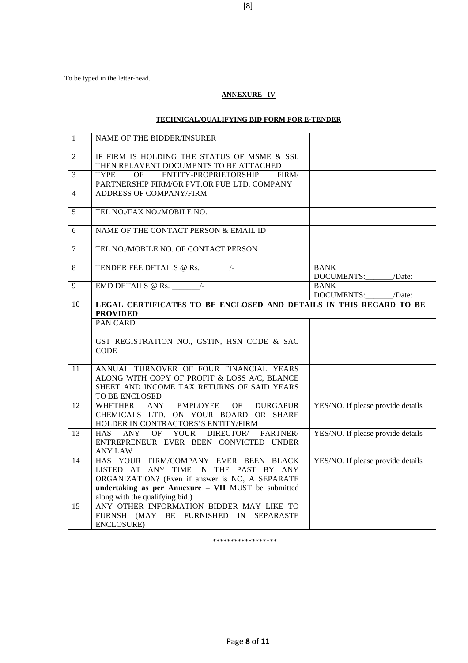#### **ANNEXURE –IV**

# **TECHNICAL/QUALIFYING BID FORM FOR E-TENDER**

| $\mathbf{1}$   | NAME OF THE BIDDER/INSURER                                                                                                                                                                                                  |                                        |
|----------------|-----------------------------------------------------------------------------------------------------------------------------------------------------------------------------------------------------------------------------|----------------------------------------|
| $\overline{2}$ | IF FIRM IS HOLDING THE STATUS OF MSME & SSI.<br>THEN RELAVENT DOCUMENTS TO BE ATTACHED                                                                                                                                      |                                        |
| $\overline{3}$ | ENTITY-PROPRIETORSHIP<br><b>TYPE</b><br><b>OF</b><br>FIRM/<br>PARTNERSHIP FIRM/OR PVT.OR PUB LTD. COMPANY                                                                                                                   |                                        |
| $\overline{4}$ | <b>ADDRESS OF COMPANY/FIRM</b>                                                                                                                                                                                              |                                        |
| 5              | TEL NO./FAX NO./MOBILE NO.                                                                                                                                                                                                  |                                        |
| 6              | NAME OF THE CONTACT PERSON & EMAIL ID                                                                                                                                                                                       |                                        |
| $\overline{7}$ | TEL.NO./MOBILE NO. OF CONTACT PERSON                                                                                                                                                                                        |                                        |
| $\,8\,$        |                                                                                                                                                                                                                             | <b>BANK</b><br>DOCUMENTS:_______/Date: |
| 9              | EMD DETAILS @ Rs. $\overline{\phantom{1.5}}$                                                                                                                                                                                | <b>BANK</b><br>DOCUMENTS: /Date:       |
| 10             | LEGAL CERTIFICATES TO BE ENCLOSED AND DETAILS IN THIS REGARD TO BE<br><b>PROVIDED</b>                                                                                                                                       |                                        |
|                | <b>PAN CARD</b>                                                                                                                                                                                                             |                                        |
|                | GST REGISTRATION NO., GSTIN, HSN CODE & SAC<br><b>CODE</b>                                                                                                                                                                  |                                        |
| 11             | ANNUAL TURNOVER OF FOUR FINANCIAL YEARS<br>ALONG WITH COPY OF PROFIT & LOSS A/C, BLANCE<br>SHEET AND INCOME TAX RETURNS OF SAID YEARS<br>TO BE ENCLOSED                                                                     |                                        |
| 12             | EMPLOYEE OF<br><b>WHETHER</b><br>ANY<br><b>DURGAPUR</b><br>CHEMICALS LTD. ON YOUR BOARD OR SHARE<br>HOLDER IN CONTRACTORS'S ENTITY/FIRM                                                                                     | YES/NO. If please provide details      |
| 13             | YOUR DIRECTOR/<br>OF<br>PARTNER/<br><b>HAS</b><br>ANY<br>ENTREPRENEUR EVER BEEN CONVICTED UNDER<br>ANY LAW                                                                                                                  | YES/NO. If please provide details      |
| 14             | HAS YOUR FIRM/COMPANY EVER BEEN BLACK<br>LISTED AT ANY TIME IN THE PAST BY ANY<br>ORGANIZATION? (Even if answer is NO, A SEPARATE<br>undertaking as per Annexure - VII MUST be submitted<br>along with the qualifying bid.) | YES/NO. If please provide details      |
| 15             | ANY OTHER INFORMATION BIDDER MAY LIKE TO<br>FURNSH (MAY BE FURNISHED IN SEPARASTE<br>ENCLOSURE)                                                                                                                             |                                        |

\*\*\*\*\*\*\*\*\*\*\*\*\*\*\*\*\*\*

Page **8** of **11**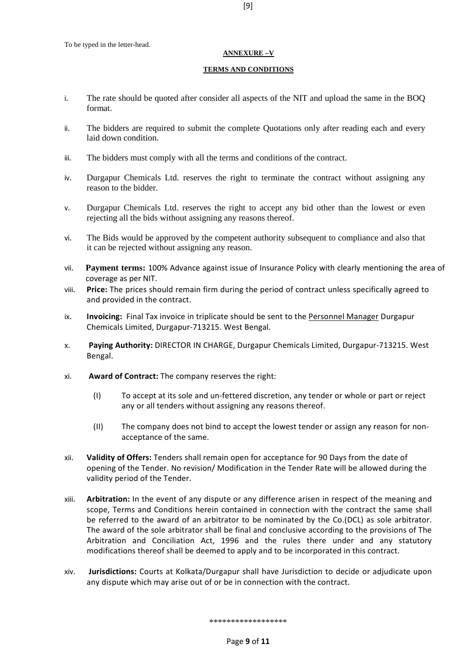#### **ANNEXURE –V**

#### **TERMS AND CONDITIONS**

- i. The rate should be quoted after consider all aspects of the NIT and upload the same in the BOQ format.
- ii. The bidders are required to submit the complete Quotations only after reading each and every laid down condition.
- iii. The bidders must comply with all the terms and conditions of the contract.
- iv. Durgapur Chemicals Ltd. reserves the right to terminate the contract without assigning any reason to the bidder.
- v. Durgapur Chemicals Ltd. reserves the right to accept any bid other than the lowest or even rejecting all the bids without assigning any reasons thereof.
- vi. The Bids would be approved by the competent authority subsequent to compliance and also that it can be rejected without assigning any reason.
- vii. **Payment terms:** 100% Advance against issue of Insurance Policy with clearly mentioning the area of coverage as per NIT.
- viii. **Price:** The prices should remain firm during the period of contract unless specifically agreed to and provided in the contract.
- ix. **Invoicing:** Final Tax invoice in triplicate should be sent to the Personnel Manager Durgapur Chemicals Limited, Durgapur-713215. West Bengal.
- x. **Paying Authority:** DIRECTOR IN CHARGE, Durgapur Chemicals Limited, Durgapur-713215. West Bengal.
- xi. **Award of Contract:** The company reserves the right:
	- (I) To accept at its sole and un-fettered discretion, any tender or whole or part or reject any or all tenders without assigning any reasons thereof.
	- (II) The company does not bind to accept the lowest tender or assign any reason for nonacceptance of the same.
- xii. **Validity of Offers:** Tenders shall remain open for acceptance for 90 Days from the date of opening of the Tender. No revision/ Modification in the Tender Rate will be allowed during the validity period of the Tender.
- xiii. **Arbitration:** In the event of any dispute or any difference arisen in respect of the meaning and scope, Terms and Conditions herein contained in connection with the contract the same shall be referred to the award of an arbitrator to be nominated by the Co.(DCL) as sole arbitrator. The award of the sole arbitrator shall be final and conclusive according to the provisions of The Arbitration and Conciliation Act, 1996 and the rules there under and any statutory modifications thereof shall be deemed to apply and to be incorporated in this contract.
- xiv. **Jurisdictions:** Courts at Kolkata/Durgapur shall have Jurisdiction to decide or adjudicate upon any dispute which may arise out of or be in connection with the contract.

\*\*\*\*\*\*\*\*\*\*\*\*\*\*\*\*\*\*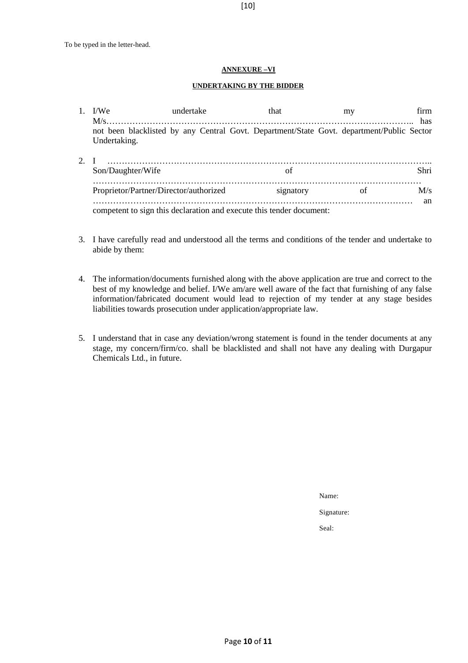#### **ANNEXURE –VI**

#### **UNDERTAKING BY THE BIDDER**

| I/W <sub>e</sub>                                                     | undertake | that                                                                                      | mv | firm |  |
|----------------------------------------------------------------------|-----------|-------------------------------------------------------------------------------------------|----|------|--|
| $M/s$                                                                |           |                                                                                           |    | has  |  |
|                                                                      |           | not been blacklisted by any Central Govt. Department/State Govt. department/Public Sector |    |      |  |
| Undertaking.                                                         |           |                                                                                           |    |      |  |
|                                                                      |           |                                                                                           |    |      |  |
| Son/Daughter/Wife                                                    |           | Ωt                                                                                        |    | Shri |  |
| Proprietor/Partner/Director/authorized                               |           | signatory                                                                                 | οf | M/s  |  |
|                                                                      |           |                                                                                           |    | an   |  |
| competent to sign this declaration and execute this tender document: |           |                                                                                           |    |      |  |

- 3. I have carefully read and understood all the terms and conditions of the tender and undertake to abide by them:
- 4. The information/documents furnished along with the above application are true and correct to the best of my knowledge and belief. I/We am/are well aware of the fact that furnishing of any false information/fabricated document would lead to rejection of my tender at any stage besides liabilities towards prosecution under application/appropriate law.
- 5. I understand that in case any deviation/wrong statement is found in the tender documents at any stage, my concern/firm/co. shall be blacklisted and shall not have any dealing with Durgapur Chemicals Ltd., in future.

Name:

Signature:

Seal: